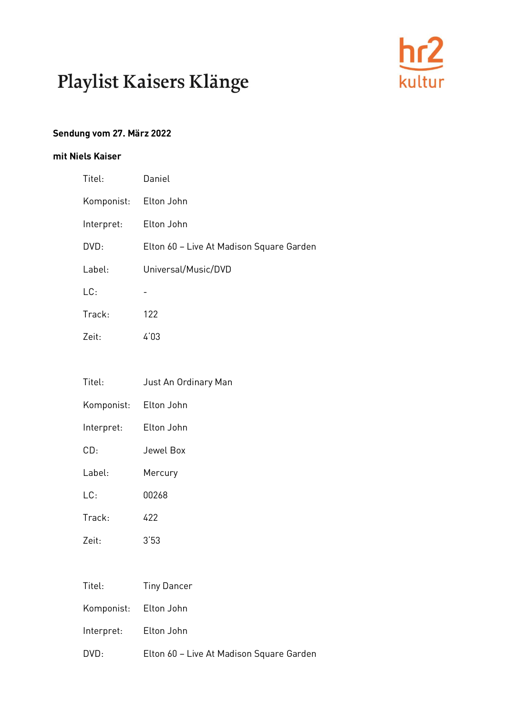

#### **Sendung vom 27. März 2022**

#### **mit Niels Kaiser**

| Titel:     | Daniel                                   |
|------------|------------------------------------------|
| Komponist: | Elton John                               |
| Interpret: | Elton John                               |
| DVD:       | Elton 60 - Live At Madison Square Garden |
| Label:     | Universal/Music/DVD                      |
| LC:        |                                          |
| Track:     | 122                                      |
| Zeit:      | 4'03                                     |

| Titel:                | <b>Tiny Dancer</b>                       |
|-----------------------|------------------------------------------|
| Komponist: Elton John |                                          |
| Interpret: Elton John |                                          |
| DVD:                  | Elton 60 - Live At Madison Square Garden |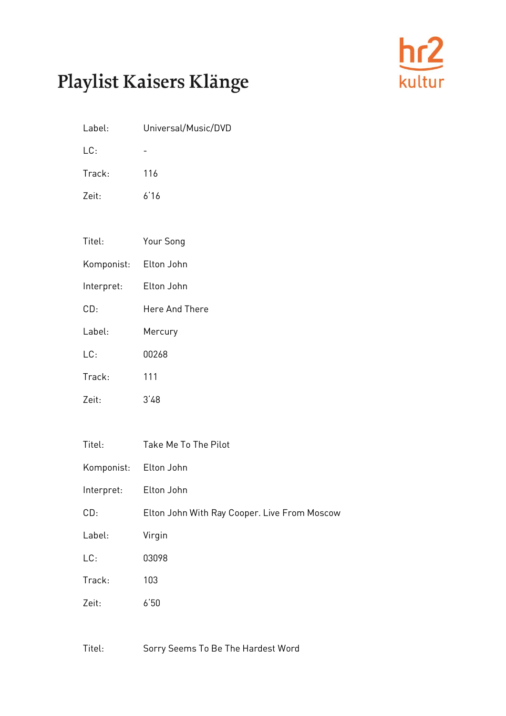

| Label:                | Universal/Music/DVD                                           |
|-----------------------|---------------------------------------------------------------|
| LC:                   |                                                               |
| Track:                | 116                                                           |
| Zeit:                 | 6'16                                                          |
|                       |                                                               |
| Titel:                | Your Song                                                     |
| Komponist: Elton John |                                                               |
| Interpret:            | Elton John                                                    |
| CD:                   | Here And There                                                |
| Label:                | Mercury                                                       |
| LC:                   | 00268                                                         |
| Track:                | 111                                                           |
| Zeit:                 | 3'48                                                          |
|                       |                                                               |
| $T_{i+1}$             | $T_2$ <sub>ka</sub> M <sub>a</sub> $T_2$ $T_{R_2}$ $D_{L_2L}$ |

| Titel:                | Take Me To The Pilot                         |
|-----------------------|----------------------------------------------|
| Komponist: Elton John |                                              |
| Interpret:            | Elton John                                   |
| CD:                   | Elton John With Ray Cooper. Live From Moscow |
| Label:                | Virgin                                       |
| LC:                   | 03098                                        |
| Track:                | 103                                          |
| Zeit:                 | 6'50                                         |

Titel: Sorry Seems To Be The Hardest Word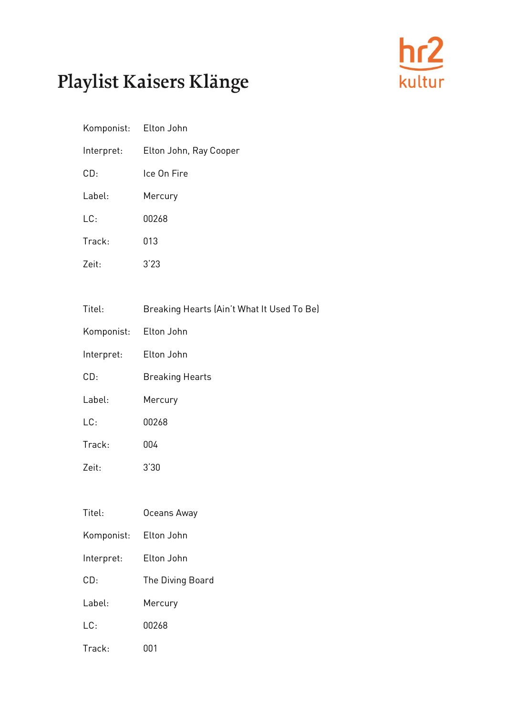

| Komponist: Elton John |                        |
|-----------------------|------------------------|
| Interpret:            | Elton John, Ray Cooper |
| CD:                   | Ice On Fire            |
| Label:                | Mercury                |
| LC:                   | 00268                  |
| Track:                | 013                    |
| Zeit:                 | 3'23                   |

| Titel:                | Breaking Hearts (Ain't What It Used To Be) |
|-----------------------|--------------------------------------------|
| Komponist: Elton John |                                            |
| Interpret:            | Elton John                                 |
| CD:                   | <b>Breaking Hearts</b>                     |
| Label:                | Mercury                                    |
| LC:                   | 00268                                      |
| Track:                | 004                                        |
| Zeit:                 | 3'30                                       |
|                       |                                            |

| Titel:     | Oceans Away      |
|------------|------------------|
| Komponist: | Elton John       |
| Interpret: | Elton John       |
| CD:        | The Diving Board |
| Label:     | Mercury          |
| LC:        | በበ268            |
| Track:     | NN 1             |

Titel: